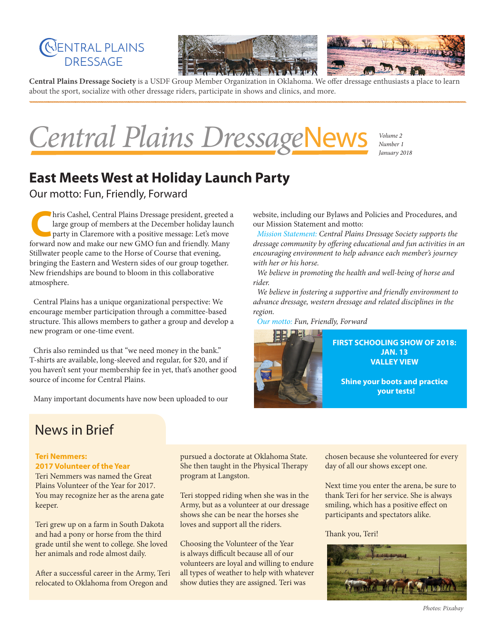



**Central Plains Dressage Society** is a USDF Group Member Organization in Oklahoma. We offer dressage enthusiasts a place to learn about the sport, socialize with other dressage riders, participate in shows and clinics, and more.

Central Plains DressageNews

*Volume 2 January 2018*

## **East Meets West at Holiday Launch Party**

Our motto: Fun, Friendly, Forward

**C**hris Cashel, Central Plains Dressage president, greeted a large group of members at the December holiday launch party in Claremore with a positive message: Let's move forward now and make our new GMO fun and friendly. Many Stillwater people came to the Horse of Course that evening, bringing the Eastern and Western sides of our group together. New friendships are bound to bloom in this collaborative atmosphere.

Central Plains has a unique organizational perspective: We encourage member participation through a committee-based structure. This allows members to gather a group and develop a new program or one-time event.

Chris also reminded us that "we need money in the bank." T-shirts are available, long-sleeved and regular, for \$20, and if you haven't sent your membership fee in yet, that's another good source of income for Central Plains.

Many important documents have now been uploaded to our

website, including our Bylaws and Policies and Procedures, and our Mission Statement and motto:

*Mission Statement: Central Plains Dressage Society supports the dressage community by offering educational and fun activities in an encouraging environment to help advance each member's journey with her or his horse.*

*We believe in promoting the health and well-being of horse and rider.*

*We believe in fostering a supportive and friendly environment to advance dressage, western dressage and related disciplines in the region.* 

*Our motto: Fun, Friendly, Forward*



## News in Brief

#### **Teri Nemmers: 2017 Volunteer of the Year**

Teri Nemmers was named the Great Plains Volunteer of the Year for 2017. You may recognize her as the arena gate keeper.

Teri grew up on a farm in South Dakota and had a pony or horse from the third grade until she went to college. She loved her animals and rode almost daily.

After a successful career in the Army, Teri relocated to Oklahoma from Oregon and

pursued a doctorate at Oklahoma State. She then taught in the Physical Therapy program at Langston.

Teri stopped riding when she was in the Army, but as a volunteer at our dressage shows she can be near the horses she loves and support all the riders.

Choosing the Volunteer of the Year is always difficult because all of our volunteers are loyal and willing to endure all types of weather to help with whatever show duties they are assigned. Teri was

chosen because she volunteered for every day of all our shows except one.

Next time you enter the arena, be sure to thank Teri for her service. She is always smiling, which has a positive effect on participants and spectators alike.

#### Thank you, Teri!